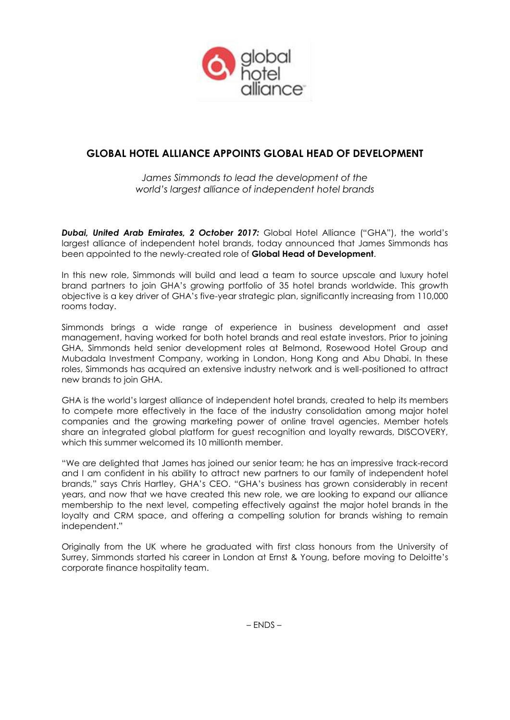

# **GLOBAL HOTEL ALLIANCE APPOINTS GLOBAL HEAD OF DEVELOPMENT**

*James Simmonds to lead the development of the world's largest alliance of independent hotel brands*

*Dubai, United Arab Emirates, 2 October 2017:* Global Hotel Alliance ("GHA"), the world's largest alliance of independent hotel brands, today announced that James Simmonds has been appointed to the newly-created role of **Global Head of Development**.

In this new role, Simmonds will build and lead a team to source upscale and luxury hotel brand partners to join GHA's growing portfolio of 35 hotel brands worldwide. This growth objective is a key driver of GHA's five-year strategic plan, significantly increasing from 110,000 rooms today.

Simmonds brings a wide range of experience in business development and asset management, having worked for both hotel brands and real estate investors. Prior to joining GHA, Simmonds held senior development roles at Belmond, Rosewood Hotel Group and Mubadala Investment Company, working in London, Hong Kong and Abu Dhabi. In these roles, Simmonds has acquired an extensive industry network and is well-positioned to attract new brands to join GHA.

GHA is the world's largest alliance of independent hotel brands, created to help its members to compete more effectively in the face of the industry consolidation among major hotel companies and the growing marketing power of online travel agencies. Member hotels share an integrated global platform for guest recognition and loyalty rewards, DISCOVERY, which this summer welcomed its 10 millionth member

"We are delighted that James has joined our senior team; he has an impressive track-record and I am confident in his ability to attract new partners to our family of independent hotel brands," says Chris Hartley, GHA's CEO. "GHA's business has grown considerably in recent years, and now that we have created this new role, we are looking to expand our alliance membership to the next level, competing effectively against the major hotel brands in the loyalty and CRM space, and offering a compelling solution for brands wishing to remain independent."

Originally from the UK where he graduated with first class honours from the University of Surrey, Simmonds started his career in London at Ernst & Young, before moving to Deloitte's corporate finance hospitality team.